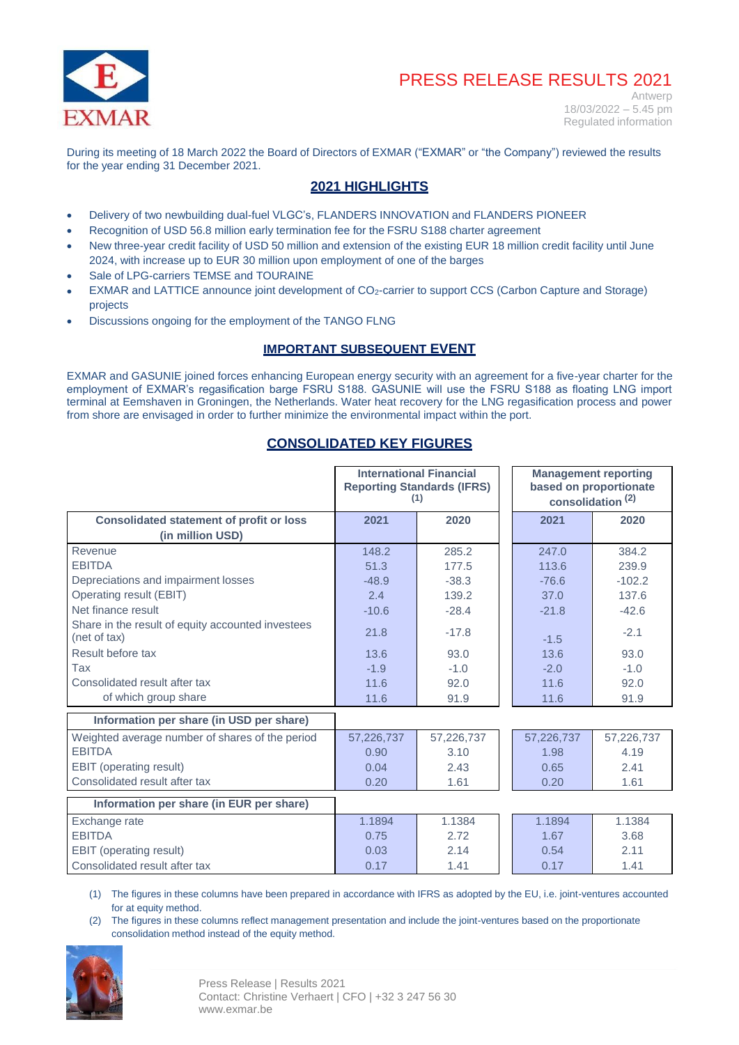

Antwerp  $18/03/2022 - 5.45$  pm Regulated information

During its meeting of 18 March 2022 the Board of Directors of EXMAR ("EXMAR" or "the Company") reviewed the results for the year ending 31 December 2021.

## **2021 HIGHLIGHTS**

- Delivery of two newbuilding dual-fuel VLGC's, FLANDERS INNOVATION and FLANDERS PIONEER
- Recognition of USD 56.8 million early termination fee for the FSRU S188 charter agreement
- New three-year credit facility of USD 50 million and extension of the existing EUR 18 million credit facility until June 2024, with increase up to EUR 30 million upon employment of one of the barges
- Sale of LPG-carriers TEMSE and TOURAINE
- EXMAR and LATTICE announce joint development of CO2-carrier to support CCS (Carbon Capture and Storage) projects
- Discussions ongoing for the employment of the TANGO FLNG

## **IMPORTANT SUBSEQUENT EVENT**

EXMAR and GASUNIE joined forces enhancing European energy security with an agreement for a five-year charter for the employment of EXMAR's regasification barge FSRU S188. GASUNIE will use the FSRU S188 as floating LNG import terminal at Eemshaven in Groningen, the Netherlands. Water heat recovery for the LNG regasification process and power from shore are envisaged in order to further minimize the environmental impact within the port.

## **CONSOLIDATED KEY FIGURES**

|                                                                   | (1)        | <b>International Financial</b><br><b>Reporting Standards (IFRS)</b> | <b>Management reporting</b><br>based on proportionate<br>consolidation <sup>(2)</sup> |            |  |  |
|-------------------------------------------------------------------|------------|---------------------------------------------------------------------|---------------------------------------------------------------------------------------|------------|--|--|
| <b>Consolidated statement of profit or loss</b>                   | 2021       | 2020                                                                | 2021                                                                                  | 2020       |  |  |
| (in million USD)                                                  |            |                                                                     |                                                                                       |            |  |  |
| Revenue                                                           | 148.2      | 285.2                                                               | 247.0                                                                                 | 384.2      |  |  |
| <b>EBITDA</b>                                                     | 51.3       | 177.5                                                               | 113.6                                                                                 | 239.9      |  |  |
| Depreciations and impairment losses                               | $-48.9$    | $-38.3$                                                             | $-76.6$                                                                               | $-102.2$   |  |  |
| Operating result (EBIT)                                           | 2.4        | 139.2                                                               | 37.0                                                                                  | 137.6      |  |  |
| Net finance result                                                | $-10.6$    | $-28.4$                                                             | $-21.8$                                                                               | $-42.6$    |  |  |
| Share in the result of equity accounted investees<br>(net of tax) | 21.8       | $-17.8$                                                             | $-1.5$                                                                                | $-2.1$     |  |  |
| Result before tax                                                 | 13.6       | 93.0                                                                | 13.6                                                                                  | 93.0       |  |  |
| Tax                                                               | $-1.9$     | $-1.0$                                                              | $-2.0$                                                                                | $-1.0$     |  |  |
| Consolidated result after tax                                     | 11.6       | 92.0                                                                | 11.6                                                                                  | 92.0       |  |  |
| of which group share                                              | 11.6       | 91.9                                                                | 11.6                                                                                  | 91.9       |  |  |
| Information per share (in USD per share)                          |            |                                                                     |                                                                                       |            |  |  |
| Weighted average number of shares of the period                   | 57,226,737 | 57,226,737                                                          | 57,226,737                                                                            | 57,226,737 |  |  |
| <b>EBITDA</b>                                                     | 0.90       | 3.10                                                                | 1.98                                                                                  | 4.19       |  |  |
| EBIT (operating result)                                           | 0.04       | 2.43                                                                | 0.65                                                                                  | 2.41       |  |  |
| Consolidated result after tax                                     | 0.20       | 1.61                                                                | 0.20                                                                                  | 1.61       |  |  |
| Information per share (in EUR per share)                          |            |                                                                     |                                                                                       |            |  |  |
| Exchange rate                                                     | 1.1894     | 1.1384                                                              | 1.1894                                                                                | 1.1384     |  |  |
| <b>EBITDA</b>                                                     | 0.75       | 2.72                                                                | 1.67                                                                                  | 3.68       |  |  |
| EBIT (operating result)                                           | 0.03       | 2.14                                                                | 0.54                                                                                  | 2.11       |  |  |
| Consolidated result after tax                                     | 0.17       | 1.41                                                                | 0.17                                                                                  | 1.41       |  |  |

(1) The figures in these columns have been prepared in accordance with IFRS as adopted by the EU, i.e. joint-ventures accounted for at equity method.

(2) The figures in these columns reflect management presentation and include the joint-ventures based on the proportionate consolidation method instead of the equity method.

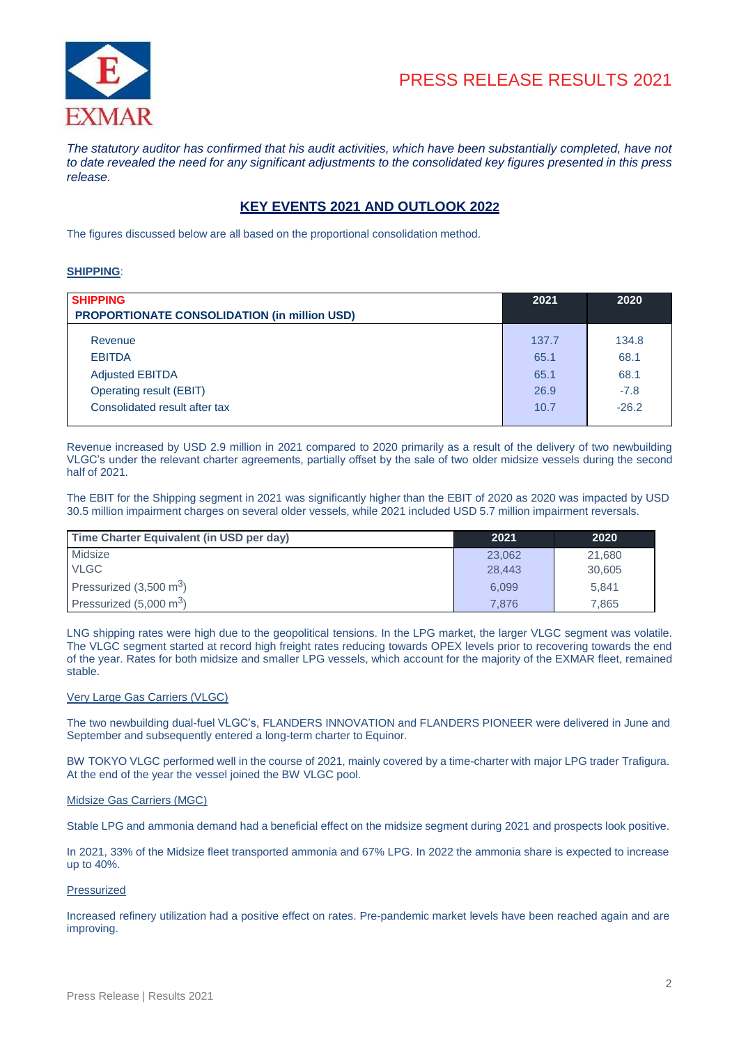

*The statutory auditor has confirmed that his audit activities, which have been substantially completed, have not* to date revealed the need for any significant adjustments to the consolidated key figures presented in this press *release.*

## **KEY EVENTS 2021 AND OUTLOOK 2022**

The figures discussed below are all based on the proportional consolidation method.

#### **SHIPPING**:

| <b>SHIPPING</b><br><b>PROPORTIONATE CONSOLIDATION (in million USD)</b> | 2021  | 2020    |
|------------------------------------------------------------------------|-------|---------|
| Revenue                                                                | 137.7 | 134.8   |
| <b>EBITDA</b>                                                          | 65.1  | 68.1    |
| <b>Adjusted EBITDA</b>                                                 | 65.1  | 68.1    |
| Operating result (EBIT)                                                | 26.9  | $-7.8$  |
| Consolidated result after tax                                          | 10.7  | $-26.2$ |

Revenue increased by USD 2.9 million in 2021 compared to 2020 primarily as a result of the delivery of two newbuilding VLGC's under the relevant charter agreements, partially offset by the sale of two older midsize vessels during the second half of 2021.

The EBIT for the Shipping segment in 2021 was significantly higher than the EBIT of 2020 as 2020 was impacted by USD 30.5 million impairment charges on several older vessels, while 2021 included USD 5.7 million impairment reversals.

| Time Charter Equivalent (in USD per day) | 2021   | 2020   |
|------------------------------------------|--------|--------|
| Midsize                                  | 23,062 | 21.680 |
| <b>VLGC</b>                              | 28,443 | 30,605 |
| Pressurized $(3,500 \text{ m}^3)$        | 6.099  | 5.841  |
| Pressurized $(5,000 \text{ m}^3)$        | 7.876  | 7.865  |

LNG shipping rates were high due to the geopolitical tensions. In the LPG market, the larger VLGC segment was volatile. The VLGC segment started at record high freight rates reducing towards OPEX levels prior to recovering towards the end of the year. Rates for both midsize and smaller LPG vessels, which account for the majority of the EXMAR fleet, remained stable.

#### Very Large Gas Carriers (VLGC)

The two newbuilding dual-fuel VLGC's, FLANDERS INNOVATION and FLANDERS PIONEER were delivered in June and September and subsequently entered a long-term charter to Equinor.

BW TOKYO VLGC performed well in the course of 2021, mainly covered by a time-charter with major LPG trader Trafigura. At the end of the year the vessel joined the BW VLGC pool.

#### Midsize Gas Carriers (MGC)

Stable LPG and ammonia demand had a beneficial effect on the midsize segment during 2021 and prospects look positive.

In 2021, 33% of the Midsize fleet transported ammonia and 67% LPG. In 2022 the ammonia share is expected to increase up to 40%.

#### Pressurized

Increased refinery utilization had a positive effect on rates. Pre-pandemic market levels have been reached again and are improving.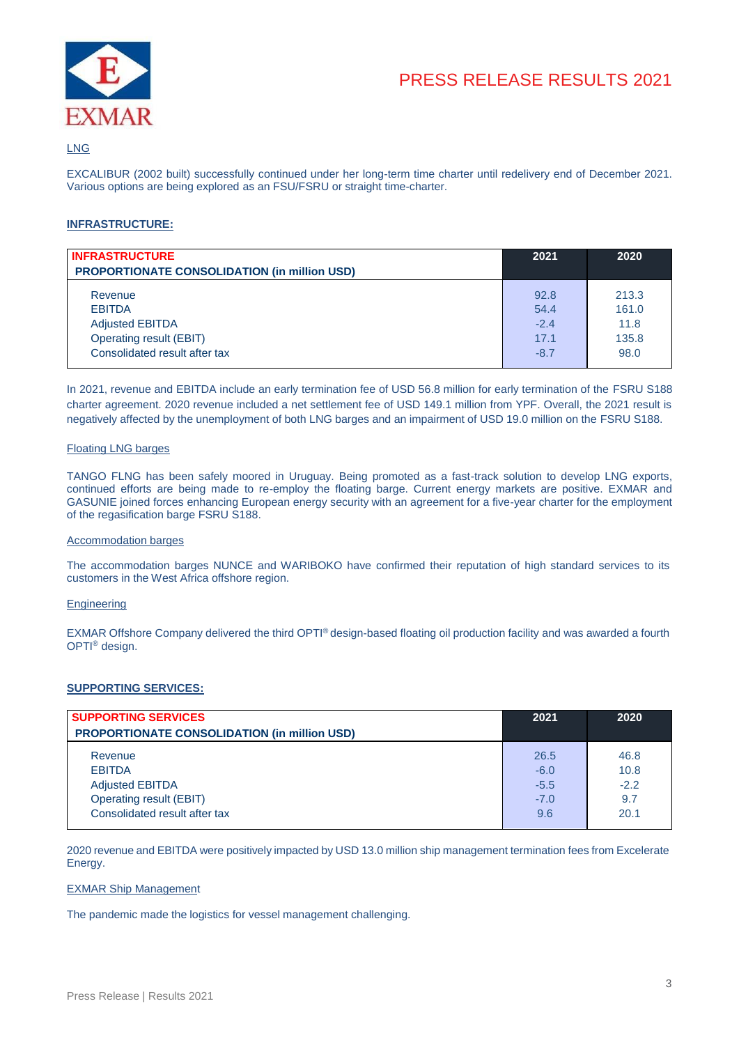

### LNG

EXCALIBUR (2002 built) successfully continued under her long-term time charter until redelivery end of December 2021. Various options are being explored as an FSU/FSRU or straight time-charter.

### **INFRASTRUCTURE:**

| <b>INFRASTRUCTURE</b><br><b>PROPORTIONATE CONSOLIDATION (in million USD)</b> | 2021   | 2020  |
|------------------------------------------------------------------------------|--------|-------|
| Revenue                                                                      | 92.8   | 213.3 |
| <b>EBITDA</b>                                                                | 54.4   | 161.0 |
| <b>Adjusted EBITDA</b>                                                       | $-2.4$ | 11.8  |
| Operating result (EBIT)                                                      | 17.1   | 135.8 |
| Consolidated result after tax                                                | $-8.7$ | 98.0  |

In 2021, revenue and EBITDA include an early termination fee of USD 56.8 million for early termination of the FSRU S188 charter agreement. 2020 revenue included a net settlement fee of USD 149.1 million from YPF. Overall, the 2021 result is negatively affected by the unemployment of both LNG barges and an impairment of USD 19.0 million on the FSRU S188.

#### Floating LNG barges

TANGO FLNG has been safely moored in Uruguay. Being promoted as a fast-track solution to develop LNG exports, continued efforts are being made to re-employ the floating barge. Current energy markets are positive. EXMAR and GASUNIE joined forces enhancing European energy security with an agreement for a five-year charter for the employment of the regasification barge FSRU S188.

#### Accommodation barges

The accommodation barges NUNCE and WARIBOKO have confirmed their reputation of high standard services to its customers in the West Africa offshore region.

#### **Engineering**

EXMAR Offshore Company delivered the third OPTI® design-based floating oil production facility and was awarded a fourth OPTI® design.

### **SUPPORTING SERVICES:**

| <b>SUPPORTING SERVICES</b>                          | 2021   | 2020   |
|-----------------------------------------------------|--------|--------|
| <b>PROPORTIONATE CONSOLIDATION (in million USD)</b> |        |        |
| Revenue                                             | 26.5   | 46.8   |
| <b>EBITDA</b>                                       | $-6.0$ | 10.8   |
| <b>Adjusted EBITDA</b>                              | $-5.5$ | $-2.2$ |
| Operating result (EBIT)                             | $-7.0$ | 9.7    |
| Consolidated result after tax                       | 9.6    | 20.1   |

2020 revenue and EBITDA were positively impacted by USD 13.0 million ship management termination fees from Excelerate Energy.

#### EXMAR Ship Management

The pandemic made the logistics for vessel management challenging.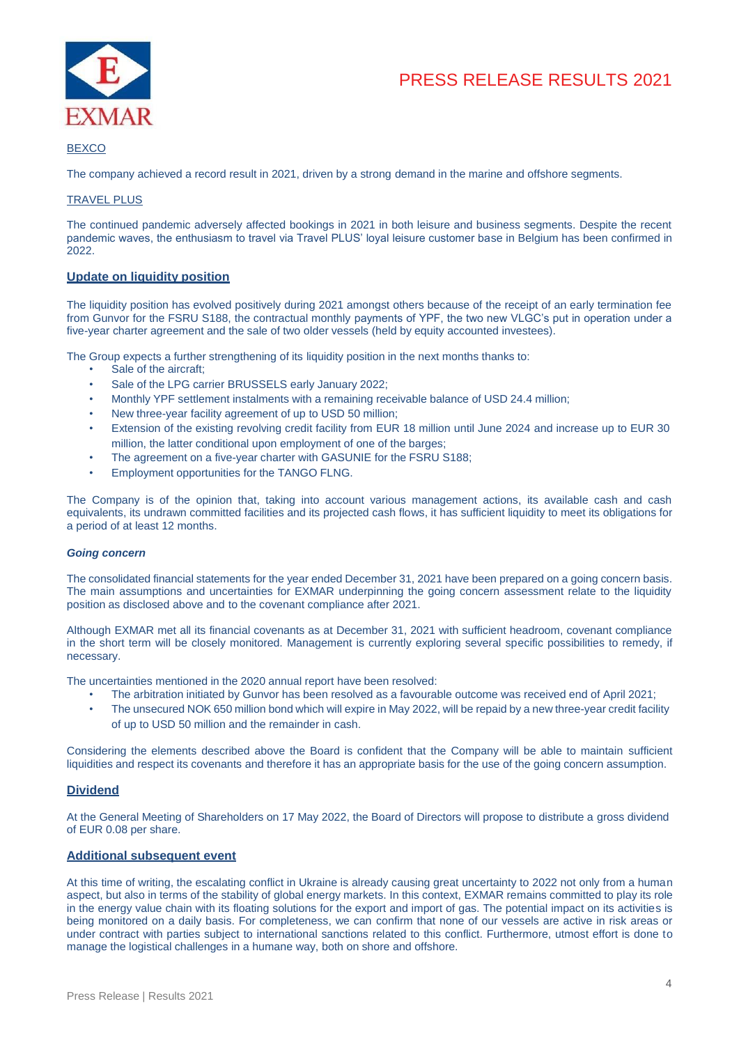

### BEXCO

The company achieved a record result in 2021, driven by a strong demand in the marine and offshore segments.

### TRAVEL PLUS

The continued pandemic adversely affected bookings in 2021 in both leisure and business segments. Despite the recent pandemic waves, the enthusiasm to travel via Travel PLUS' loyal leisure customer base in Belgium has been confirmed in 2022.

### **Update on liquidity position**

The liquidity position has evolved positively during 2021 amongst others because of the receipt of an early termination fee from Gunvor for the FSRU S188, the contractual monthly payments of YPF, the two new VLGC's put in operation under a five-year charter agreement and the sale of two older vessels (held by equity accounted investees).

The Group expects a further strengthening of its liquidity position in the next months thanks to:

- Sale of the aircraft;
- Sale of the LPG carrier BRUSSELS early January 2022;
- Monthly YPF settlement instalments with a remaining receivable balance of USD 24.4 million;
- New three-year facility agreement of up to USD 50 million;
- Extension of the existing revolving credit facility from EUR 18 million until June 2024 and increase up to EUR 30 million, the latter conditional upon employment of one of the barges;
- The agreement on a five-year charter with GASUNIE for the FSRU S188;
- Employment opportunities for the TANGO FLNG.

The Company is of the opinion that, taking into account various management actions, its available cash and cash equivalents, its undrawn committed facilities and its projected cash flows, it has sufficient liquidity to meet its obligations for a period of at least 12 months.

#### *Going concern*

The consolidated financial statements for the year ended December 31, 2021 have been prepared on a going concern basis. The main assumptions and uncertainties for EXMAR underpinning the going concern assessment relate to the liquidity position as disclosed above and to the covenant compliance after 2021.

Although EXMAR met all its financial covenants as at December 31, 2021 with sufficient headroom, covenant compliance in the short term will be closely monitored. Management is currently exploring several specific possibilities to remedy, if necessary.

The uncertainties mentioned in the 2020 annual report have been resolved:

- The arbitration initiated by Gunvor has been resolved as a favourable outcome was received end of April 2021;
- The unsecured NOK 650 million bond which will expire in May 2022, will be repaid by a new three-year credit facility of up to USD 50 million and the remainder in cash.

Considering the elements described above the Board is confident that the Company will be able to maintain sufficient liquidities and respect its covenants and therefore it has an appropriate basis for the use of the going concern assumption.

### **Dividend**

At the General Meeting of Shareholders on 17 May 2022, the Board of Directors will propose to distribute a gross dividend of EUR 0.08 per share.

#### **Additional subsequent event**

At this time of writing, the escalating conflict in Ukraine is already causing great uncertainty to 2022 not only from a human aspect, but also in terms of the stability of global energy markets. In this context, EXMAR remains committed to play its role in the energy value chain with its floating solutions for the export and import of gas. The potential impact on its activities is being monitored on a daily basis. For completeness, we can confirm that none of our vessels are active in risk areas or under contract with parties subject to international sanctions related to this conflict. Furthermore, utmost effort is done to manage the logistical challenges in a humane way, both on shore and offshore.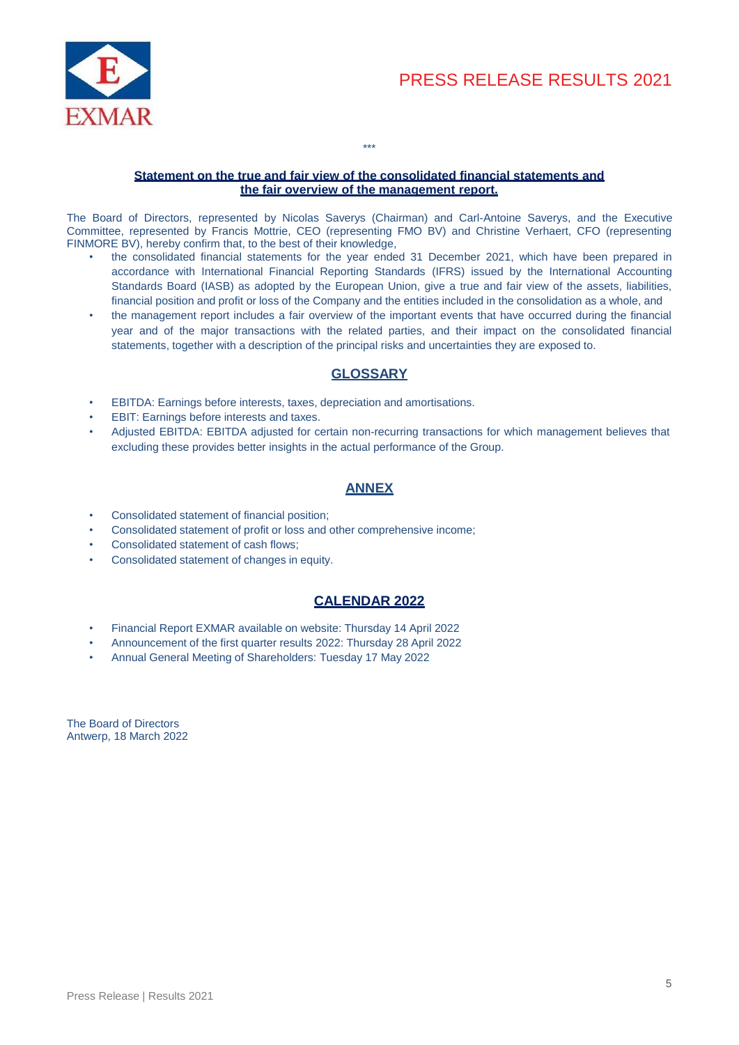

### **Statement on the true and fair view of the consolidated financial statements and the fair overview of the management report.**

\*\*\*

The Board of Directors, represented by Nicolas Saverys (Chairman) and Carl-Antoine Saverys, and the Executive Committee, represented by Francis Mottrie, CEO (representing FMO BV) and Christine Verhaert, CFO (representing FINMORE BV), hereby confirm that, to the best of their knowledge,

- the consolidated financial statements for the year ended 31 December 2021, which have been prepared in accordance with International Financial Reporting Standards (IFRS) issued by the International Accounting Standards Board (IASB) as adopted by the European Union, give a true and fair view of the assets, liabilities, financial position and profit or loss of the Company and the entities included in the consolidation as a whole, and
- the management report includes a fair overview of the important events that have occurred during the financial year and of the major transactions with the related parties, and their impact on the consolidated financial statements, together with a description of the principal risks and uncertainties they are exposed to.

## **GLOSSARY**

- EBITDA: Earnings before interests, taxes, depreciation and amortisations.
- EBIT: Earnings before interests and taxes.
- Adjusted EBITDA: EBITDA adjusted for certain non-recurring transactions for which management believes that excluding these provides better insights in the actual performance of the Group.

## **ANNEX**

- Consolidated statement of financial position;
- Consolidated statement of profit or loss and other comprehensive income;
- Consolidated statement of cash flows;
- Consolidated statement of changes in equity.

## **CALENDAR 2022**

- Financial Report EXMAR available on website: Thursday 14 April 2022
- Announcement of the first quarter results 2022: Thursday 28 April 2022
- Annual General Meeting of Shareholders: Tuesday 17 May 2022

The Board of Directors Antwerp, 18 March 2022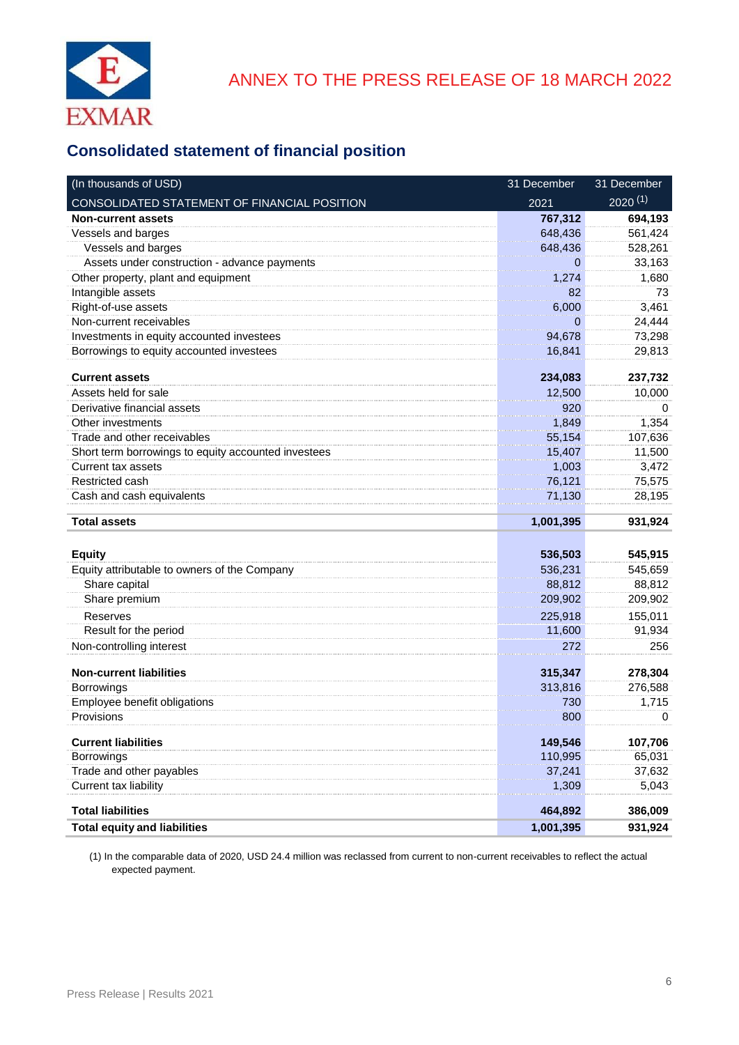

# **Consolidated statement of financial position**

| (In thousands of USD)                               | 31 December | 31 December       |
|-----------------------------------------------------|-------------|-------------------|
| CONSOLIDATED STATEMENT OF FINANCIAL POSITION        | 2021        | $2020^{(1)}$      |
| <b>Non-current assets</b>                           | 767,312     | 694,193           |
| Vessels and barges                                  | 648,436     | 561,424           |
| Vessels and barges                                  | 648,436     | 528,261           |
| Assets under construction - advance payments        | 0           | 33,163            |
| Other property, plant and equipment                 | 1,274       | 1,680             |
| Intangible assets                                   | 82          | 73                |
| Right-of-use assets                                 | 6,000       | 3,461             |
| Non-current receivables                             | 0           | 24,444            |
| Investments in equity accounted investees           | 94,678      | 73,298            |
| Borrowings to equity accounted investees            | 16,841      | 29,813            |
| <b>Current assets</b>                               | 234,083     | 237,732           |
| Assets held for sale                                | 12,500      | 10,000            |
| Derivative financial assets                         | 920         | <sup>0</sup>      |
| Other investments                                   | 1,849       | 1,354             |
| Trade and other receivables                         | 55,154      | 107,636           |
| Short term borrowings to equity accounted investees | 15,407      | 11,500            |
| Current tax assets                                  | 1,003       | 3,472             |
| Restricted cash                                     | 76,121      | 75,575            |
| Cash and cash equivalents                           | 71,130      | 28,195            |
| <b>Total assets</b>                                 | 1,001,395   | 931,924           |
| <b>Equity</b>                                       | 536,503     | 545,915           |
| Equity attributable to owners of the Company        | 536,231     | 545,659           |
| Share capital                                       | 88,812      | 88,812            |
| Share premium                                       | 209,902     | 209,902           |
| Reserves                                            | 225,918     |                   |
| Result for the period                               | 11,600      | 155,011<br>91,934 |
| Non-controlling interest                            | 272         | 256               |
|                                                     |             |                   |
| <b>Non-current liabilities</b>                      | 315,347     | 278,304           |
| Borrowings                                          | 313,816     | 276,588           |
| Employee benefit obligations                        | 730         | 1,715             |
| Provisions                                          | 800         | 0                 |
| <b>Current liabilities</b>                          | 149,546     | 107,706           |
| Borrowings                                          | 110,995     | 65,031            |
| Trade and other payables                            | 37,241      | 37,632            |
| Current tax liability                               | 1,309       | 5,043             |
| <b>Total liabilities</b>                            | 464,892     | 386,009           |
| <b>Total equity and liabilities</b>                 | 1,001,395   | 931,924           |

(1) In the comparable data of 2020, USD 24.4 million was reclassed from current to non-current receivables to reflect the actual expected payment.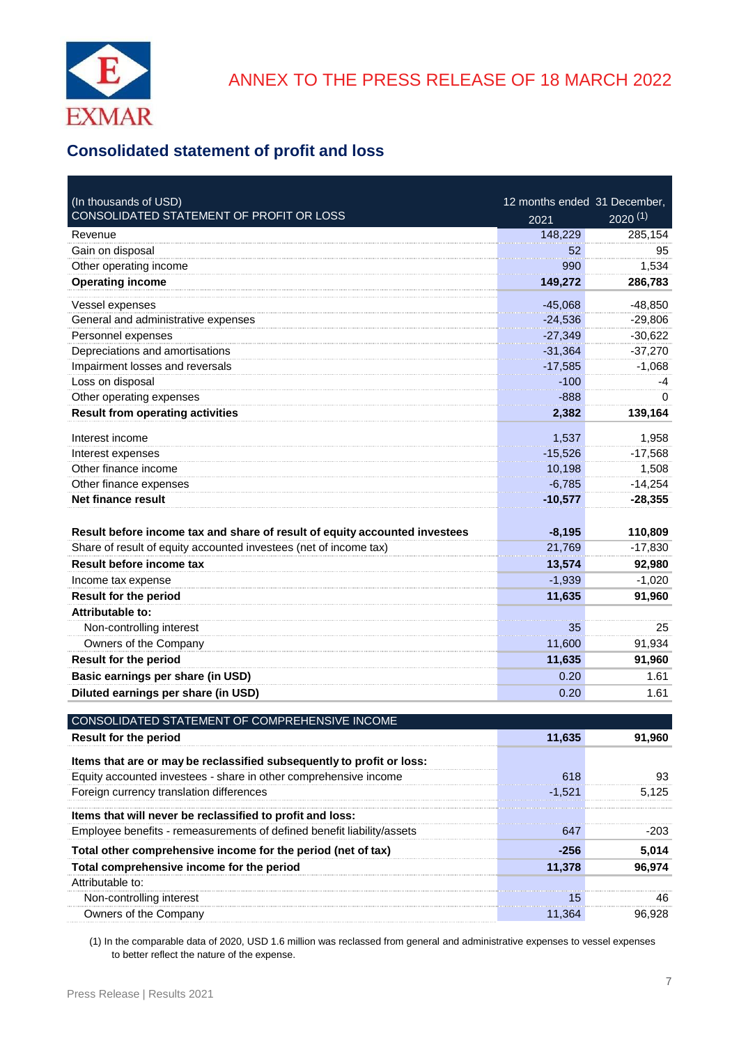

# **Consolidated statement of profit and loss**

| (In thousands of USD)                                                      | 12 months ended 31 December, |              |
|----------------------------------------------------------------------------|------------------------------|--------------|
| CONSOLIDATED STATEMENT OF PROFIT OR LOSS                                   | 2021                         | $2020^{(1)}$ |
| Revenue                                                                    | 148,229                      | 285,154      |
| Gain on disposal                                                           | 52                           | 95           |
| Other operating income                                                     | 990                          | 1,534        |
| <b>Operating income</b>                                                    | 149,272                      | 286,783      |
| Vessel expenses                                                            | $-45,068$                    | $-48,850$    |
| General and administrative expenses                                        | $-24,536$                    | $-29,806$    |
| Personnel expenses                                                         | $-27,349$                    | $-30,622$    |
| Depreciations and amortisations                                            | $-31,364$                    | $-37,270$    |
| Impairment losses and reversals                                            | $-17,585$                    | $-1,068$     |
| Loss on disposal                                                           | $-100$                       | -4           |
| Other operating expenses                                                   | $-888$                       | $\Omega$     |
| <b>Result from operating activities</b>                                    | 2,382                        | 139,164      |
| Interest income                                                            | 1,537                        | 1,958        |
| Interest expenses                                                          | $-15,526$                    | $-17,568$    |
| Other finance income                                                       | 10,198                       | 1,508        |
| Other finance expenses                                                     | $-6,785$                     | $-14,254$    |
| <b>Net finance result</b>                                                  | $-10,577$                    | $-28,355$    |
|                                                                            |                              |              |
| Result before income tax and share of result of equity accounted investees | $-8,195$                     | 110,809      |
| Share of result of equity accounted investees (net of income tax)          | 21,769                       | $-17,830$    |
| Result before income tax                                                   | 13,574                       | 92,980       |
| Income tax expense                                                         | $-1,939$                     | $-1,020$     |
| <b>Result for the period</b>                                               | 11,635                       | 91,960       |
| <b>Attributable to:</b>                                                    |                              |              |
| Non-controlling interest                                                   | 35                           | 25           |
| Owners of the Company                                                      | 11,600                       | 91,934       |
| <b>Result for the period</b>                                               | 11,635                       | 91,960       |
| Basic earnings per share (in USD)                                          | 0.20                         | 1.61         |
| Diluted earnings per share (in USD)                                        | 0.20                         | 1.61         |
|                                                                            |                              |              |
| CONSOLIDATED STATEMENT OF COMPREHENSIVE INCOME                             |                              |              |
| <b>Result for the period</b>                                               | 11,635                       | 91,960       |
| Items that are or may be reclassified subsequently to profit or loss:      |                              |              |
| Equity accounted investees - share in other comprehensive income           | 618                          | 93           |
| Foreign currency translation differences                                   | $-1,521$                     | 5,125        |
| Items that will never be reclassified to profit and loss:                  |                              |              |
| Employee benefits - remeasurements of defined benefit liability/assets     | 647                          | $-203$       |
| Total other comprehensive income for the period (net of tax)               | $-256$                       | 5,014        |
| Total comprehensive income for the period                                  | 11,378                       | 96,974       |
| Attributable to:                                                           |                              |              |
| Non-controlling interest                                                   | 15                           | 46           |
| Owners of the Company                                                      | 11,364                       | 96,928       |

(1) In the comparable data of 2020, USD 1.6 million was reclassed from general and administrative expenses to vessel expenses to better reflect the nature of the expense.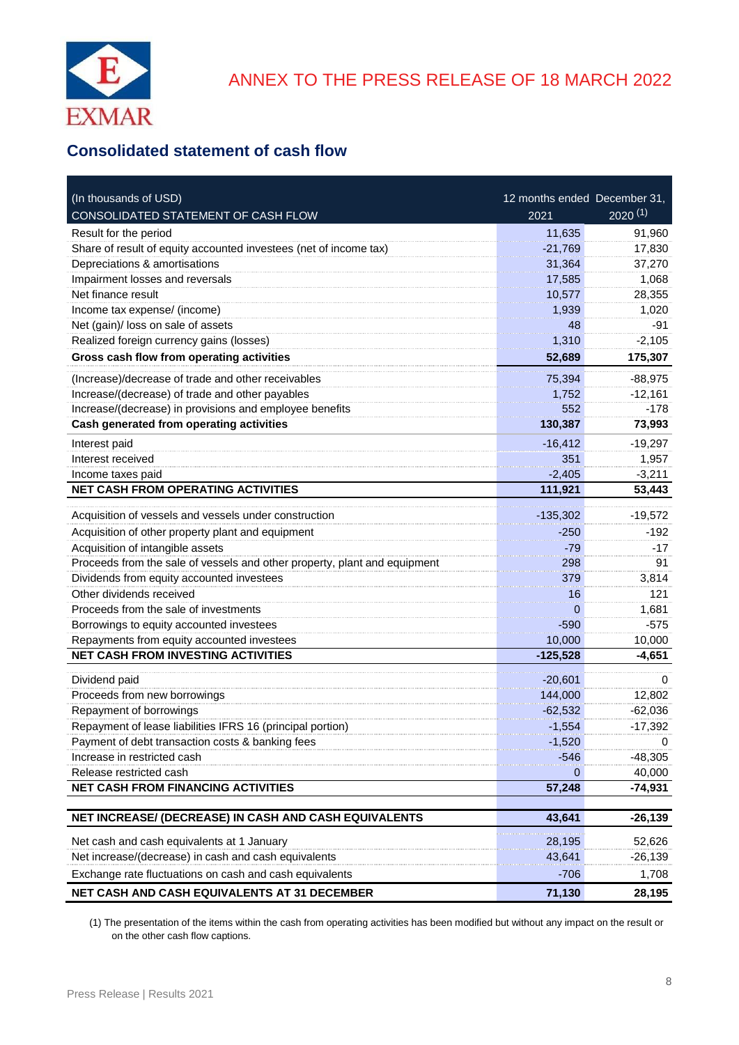

## **Consolidated statement of cash flow**

| (In thousands of USD)                                                     | 12 months ended December 31, |              |
|---------------------------------------------------------------------------|------------------------------|--------------|
| CONSOLIDATED STATEMENT OF CASH FLOW                                       | 2021                         | $2020^{(1)}$ |
| Result for the period                                                     | 11,635                       | 91,960       |
| Share of result of equity accounted investees (net of income tax)         | $-21,769$                    | 17,830       |
| Depreciations & amortisations                                             | 31,364                       | 37,270       |
| Impairment losses and reversals                                           | 17,585                       | 1,068        |
| Net finance result                                                        | 10,577                       | 28,355       |
| Income tax expense/ (income)                                              | 1,939                        | 1,020        |
| Net (gain)/ loss on sale of assets                                        | 48                           | $-91$        |
| Realized foreign currency gains (losses)                                  | 1,310                        | $-2,105$     |
| Gross cash flow from operating activities                                 | 52,689                       | 175,307      |
| (Increase)/decrease of trade and other receivables                        | 75,394                       | $-88,975$    |
| Increase/(decrease) of trade and other payables                           | 1,752                        | $-12,161$    |
| Increase/(decrease) in provisions and employee benefits                   | 552                          | $-178$       |
| Cash generated from operating activities                                  | 130,387                      | 73,993       |
| Interest paid                                                             | $-16,412$                    | $-19,297$    |
| Interest received                                                         | 351                          | 1,957        |
| Income taxes paid                                                         | $-2,405$                     | $-3,211$     |
| NET CASH FROM OPERATING ACTIVITIES                                        | 111,921                      | 53,443       |
| Acquisition of vessels and vessels under construction                     | $-135,302$                   | $-19,572$    |
| Acquisition of other property plant and equipment                         | $-250$                       | $-192$       |
| Acquisition of intangible assets                                          | $-79$                        | -17          |
| Proceeds from the sale of vessels and other property, plant and equipment | 298                          | 91           |
| Dividends from equity accounted investees                                 | 379                          | 3,814        |
| Other dividends received                                                  | 16                           | 121          |
| Proceeds from the sale of investments                                     | $\Omega$                     | 1,681        |
| Borrowings to equity accounted investees                                  | $-590$                       | $-575$       |
| Repayments from equity accounted investees                                | 10,000                       | 10,000       |
| <b>NET CASH FROM INVESTING ACTIVITIES</b>                                 | $-125,528$                   | $-4,651$     |
| Dividend paid                                                             | $-20,601$                    | $\Omega$     |
| Proceeds from new borrowings                                              | 144,000                      | 12,802       |
| Repayment of borrowings                                                   | $-62,532$                    | $-62,036$    |
| Repayment of lease liabilities IFRS 16 (principal portion)                | $-1,554$                     | $-17,392$    |
| Payment of debt transaction costs & banking fees                          | -1,520                       | 0            |
| Increase in restricted cash                                               | -546                         | $-48,305$    |
| Release restricted cash                                                   | 0                            | 40,000       |
| <b>NET CASH FROM FINANCING ACTIVITIES</b>                                 | 57,248                       | -74,931      |
|                                                                           |                              |              |
| NET INCREASE/ (DECREASE) IN CASH AND CASH EQUIVALENTS                     | 43,641                       | $-26,139$    |
| Net cash and cash equivalents at 1 January                                | 28,195                       | 52,626       |
| Net increase/(decrease) in cash and cash equivalents                      | 43,641                       | $-26,139$    |
| Exchange rate fluctuations on cash and cash equivalents                   | -706                         | 1,708        |
| NET CASH AND CASH EQUIVALENTS AT 31 DECEMBER                              | 71,130                       | 28,195       |

(1) The presentation of the items within the cash from operating activities has been modified but without any impact on the result or on the other cash flow captions.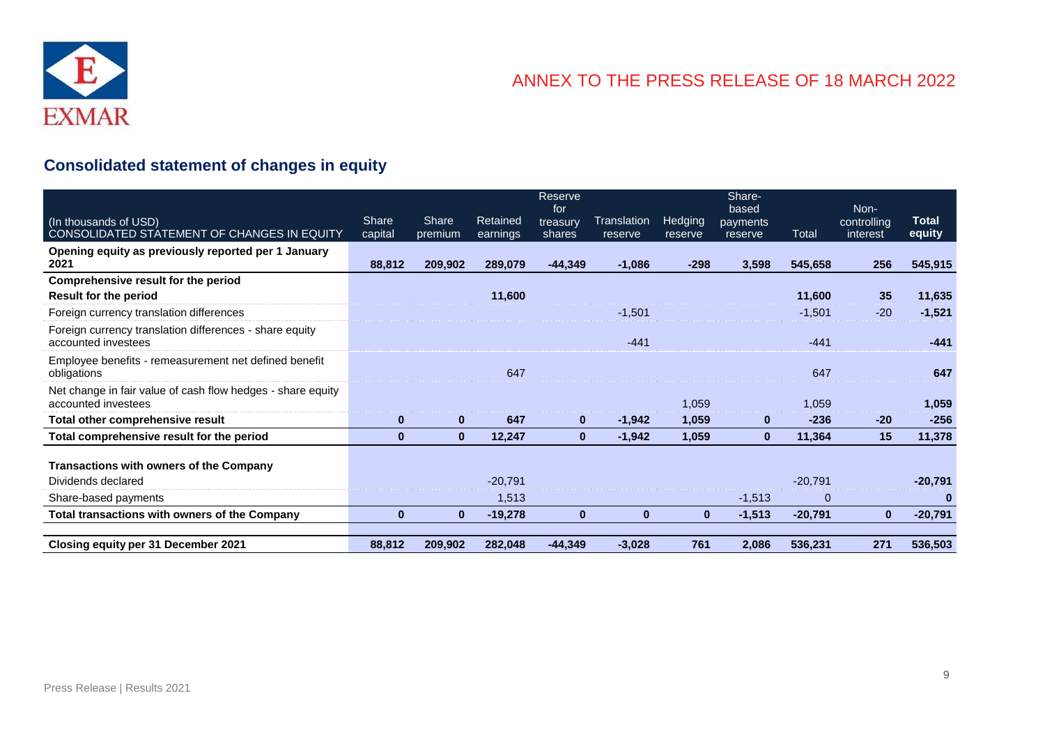

# **Consolidated statement of changes in equity**

|                                                                                    |                  |                  |                      | <b>Reserve</b><br>for |                        |                           | Share-<br>based     |                | Non-                    |                        |
|------------------------------------------------------------------------------------|------------------|------------------|----------------------|-----------------------|------------------------|---------------------------|---------------------|----------------|-------------------------|------------------------|
| (In thousands of USD)<br>CONSOLIDATED STATEMENT OF CHANGES IN EQUITY               | Share<br>capital | Share<br>premium | Retained<br>earnings | treasurv<br>shares    | Translation<br>reserve | <b>Hedging</b><br>reserve | payments<br>reserve | Total          | controlling<br>interest | <b>Total</b><br>equity |
| Opening equity as previously reported per 1 January<br>2021                        | 88,812           | 209,902          | 289,079              | $-44,349$             | $-1,086$               | $-298$                    | 3,598               | 545,658        | 256                     | 545,915                |
| Comprehensive result for the period                                                |                  |                  |                      |                       |                        |                           |                     |                |                         |                        |
| <b>Result for the period</b>                                                       |                  |                  | 11,600               |                       |                        |                           |                     | 11,600         | 35                      | 11,635                 |
| Foreign currency translation differences                                           |                  |                  |                      |                       | $-1,501$               |                           |                     | $-1,501$       | $-20$                   | $-1,521$               |
| Foreign currency translation differences - share equity<br>accounted investees     |                  |                  |                      |                       | $-441$                 |                           |                     | $-441$         |                         | $-441$                 |
| Employee benefits - remeasurement net defined benefit<br>obligations               |                  |                  | 647                  |                       |                        |                           |                     | 647            |                         | 647                    |
| Net change in fair value of cash flow hedges - share equity<br>accounted investees |                  |                  |                      |                       |                        | 1,059                     |                     | 1,059          |                         | 1,059                  |
| Total other comprehensive result                                                   | $\bf{0}$         | $\bf{0}$         | 647                  | $\bf{0}$              | $-1,942$               | 1,059                     | $\bf{0}$            | $-236$         | $-20$                   | $-256$                 |
| Total comprehensive result for the period                                          | $\bf{0}$         | $\mathbf{0}$     | 12,247               | $\bf{0}$              | $-1,942$               | 1,059                     | $\mathbf{0}$        | 11,364         | 15                      | 11,378                 |
| Transactions with owners of the Company                                            |                  |                  |                      |                       |                        |                           |                     |                |                         |                        |
| Dividends declared                                                                 |                  |                  | $-20,791$            |                       |                        |                           |                     | $-20,791$      |                         | $-20,791$              |
| Share-based payments                                                               |                  |                  | 1,513                |                       |                        |                           | $-1,513$            | $\overline{0}$ |                         | $\bf{0}$               |
| <b>Total transactions with owners of the Company</b>                               | $\bf{0}$         | $\bf{0}$         | $-19,278$            | $\bf{0}$              | $\bf{0}$               | $\bf{0}$                  | $-1,513$            | $-20,791$      | $\bf{0}$                | $-20,791$              |
|                                                                                    |                  |                  |                      | $-44,349$             |                        | 761                       | 2,086               | 536,231        | 271                     | 536,503                |
| Closing equity per 31 December 2021                                                | 88,812           | 209,902          | 282,048              |                       | $-3,028$               |                           |                     |                |                         |                        |